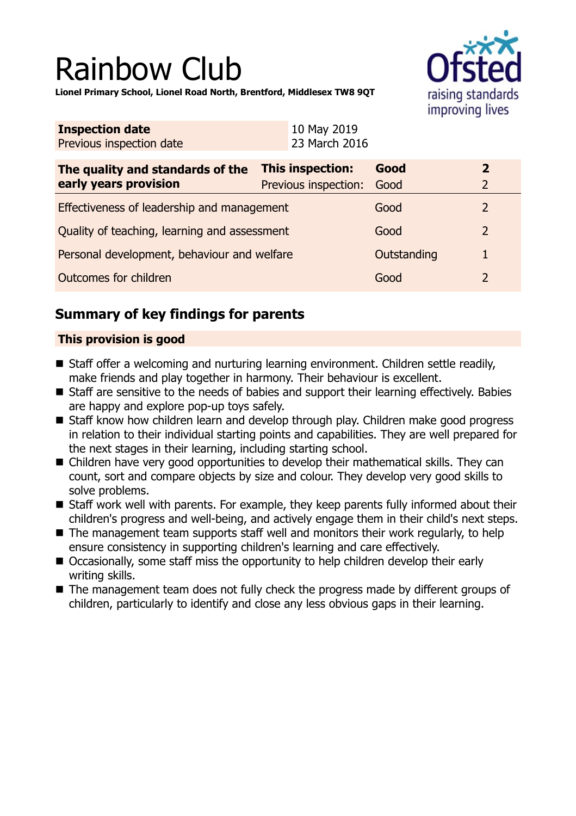# Rainbow Club



**Lionel Primary School, Lionel Road North, Brentford, Middlesex TW8 9QT**

| <b>Inspection date</b><br>Previous inspection date        | 10 May 2019<br>23 March 2016                    |              |                                  |
|-----------------------------------------------------------|-------------------------------------------------|--------------|----------------------------------|
| The quality and standards of the<br>early years provision | <b>This inspection:</b><br>Previous inspection: | Good<br>Good | $\overline{2}$<br>$\overline{2}$ |
| Effectiveness of leadership and management                |                                                 | Good         | 2                                |
| Quality of teaching, learning and assessment              |                                                 | Good         | $\overline{2}$                   |
| Personal development, behaviour and welfare               |                                                 | Outstanding  | 1                                |
| Outcomes for children                                     |                                                 | Good         | $\overline{2}$                   |

## **Summary of key findings for parents**

## **This provision is good**

- Staff offer a welcoming and nurturing learning environment. Children settle readily, make friends and play together in harmony. Their behaviour is excellent.
- Staff are sensitive to the needs of babies and support their learning effectively. Babies are happy and explore pop-up toys safely.
- Staff know how children learn and develop through play. Children make good progress in relation to their individual starting points and capabilities. They are well prepared for the next stages in their learning, including starting school.
- $\blacksquare$  Children have very good opportunities to develop their mathematical skills. They can count, sort and compare objects by size and colour. They develop very good skills to solve problems.
- $\blacksquare$  Staff work well with parents. For example, they keep parents fully informed about their children's progress and well-being, and actively engage them in their child's next steps.
- $\blacksquare$  The management team supports staff well and monitors their work regularly, to help ensure consistency in supporting children's learning and care effectively.
- Occasionally, some staff miss the opportunity to help children develop their early writing skills.
- $\blacksquare$  The management team does not fully check the progress made by different groups of children, particularly to identify and close any less obvious gaps in their learning.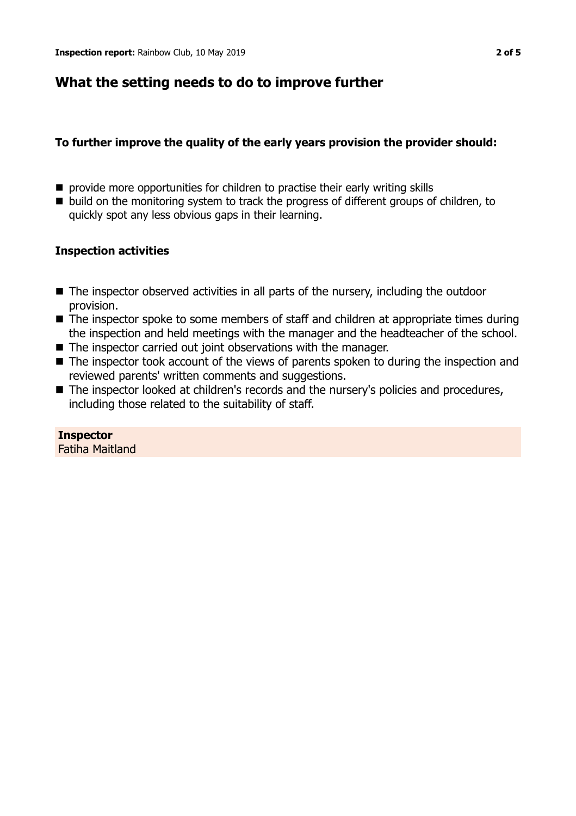## **What the setting needs to do to improve further**

## **To further improve the quality of the early years provision the provider should:**

- $\blacksquare$  provide more opportunities for children to practise their early writing skills
- build on the monitoring system to track the progress of different groups of children, to quickly spot any less obvious gaps in their learning.

## **Inspection activities**

- $\blacksquare$  The inspector observed activities in all parts of the nursery, including the outdoor provision.
- $\blacksquare$  The inspector spoke to some members of staff and children at appropriate times during the inspection and held meetings with the manager and the headteacher of the school.
- $\blacksquare$  The inspector carried out joint observations with the manager.
- $\blacksquare$  The inspector took account of the views of parents spoken to during the inspection and reviewed parents' written comments and suggestions.
- The inspector looked at children's records and the nursery's policies and procedures, including those related to the suitability of staff.

**Inspector** Fatiha Maitland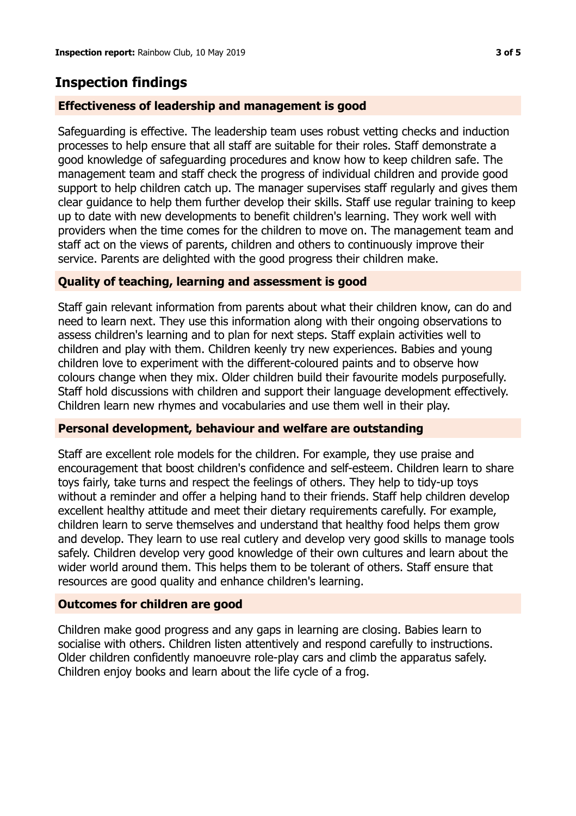## **Inspection findings**

### **Effectiveness of leadership and management is good**

Safeguarding is effective. The leadership team uses robust vetting checks and induction processes to help ensure that all staff are suitable for their roles. Staff demonstrate a good knowledge of safeguarding procedures and know how to keep children safe. The management team and staff check the progress of individual children and provide good support to help children catch up. The manager supervises staff regularly and gives them clear guidance to help them further develop their skills. Staff use regular training to keep up to date with new developments to benefit children's learning. They work well with providers when the time comes for the children to move on. The management team and staff act on the views of parents, children and others to continuously improve their service. Parents are delighted with the good progress their children make.

#### **Quality of teaching, learning and assessment is good**

Staff gain relevant information from parents about what their children know, can do and need to learn next. They use this information along with their ongoing observations to assess children's learning and to plan for next steps. Staff explain activities well to children and play with them. Children keenly try new experiences. Babies and young children love to experiment with the different-coloured paints and to observe how colours change when they mix. Older children build their favourite models purposefully. Staff hold discussions with children and support their language development effectively. Children learn new rhymes and vocabularies and use them well in their play.

#### **Personal development, behaviour and welfare are outstanding**

Staff are excellent role models for the children. For example, they use praise and encouragement that boost children's confidence and self-esteem. Children learn to share toys fairly, take turns and respect the feelings of others. They help to tidy-up toys without a reminder and offer a helping hand to their friends. Staff help children develop excellent healthy attitude and meet their dietary requirements carefully. For example, children learn to serve themselves and understand that healthy food helps them grow and develop. They learn to use real cutlery and develop very good skills to manage tools safely. Children develop very good knowledge of their own cultures and learn about the wider world around them. This helps them to be tolerant of others. Staff ensure that resources are good quality and enhance children's learning.

#### **Outcomes for children are good**

Children make good progress and any gaps in learning are closing. Babies learn to socialise with others. Children listen attentively and respond carefully to instructions. Older children confidently manoeuvre role-play cars and climb the apparatus safely. Children enjoy books and learn about the life cycle of a frog.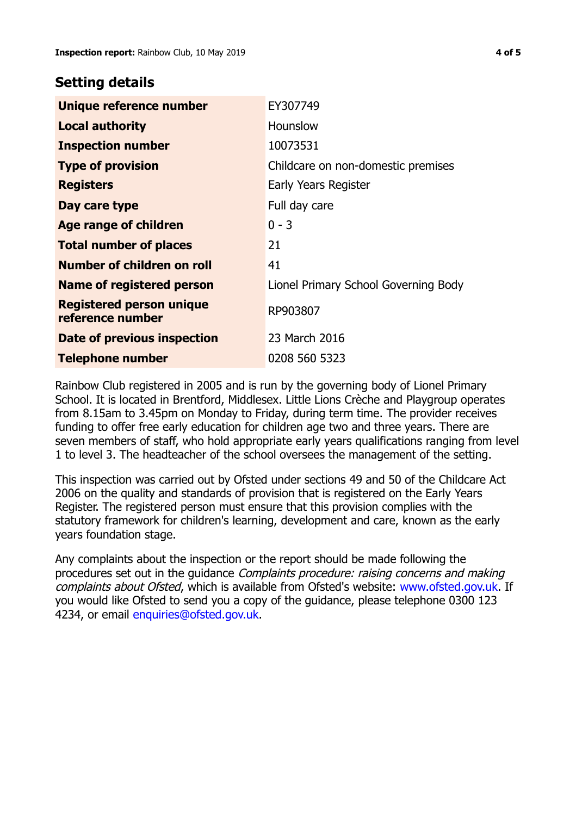## **Setting details**

| Unique reference number                             | EY307749                             |
|-----------------------------------------------------|--------------------------------------|
| <b>Local authority</b>                              | Hounslow                             |
| <b>Inspection number</b>                            | 10073531                             |
| <b>Type of provision</b>                            | Childcare on non-domestic premises   |
| <b>Registers</b>                                    | Early Years Register                 |
| Day care type                                       | Full day care                        |
| Age range of children                               | $0 - 3$                              |
| <b>Total number of places</b>                       | 21                                   |
| Number of children on roll                          | 41                                   |
| <b>Name of registered person</b>                    | Lionel Primary School Governing Body |
| <b>Registered person unique</b><br>reference number | RP903807                             |
| Date of previous inspection                         | 23 March 2016                        |
| <b>Telephone number</b>                             | 0208 560 5323                        |

Rainbow Club registered in 2005 and is run by the governing body of Lionel Primary School. It is located in Brentford, Middlesex. Little Lions Crèche and Playgroup operates from 8.15am to 3.45pm on Monday to Friday, during term time. The provider receives funding to offer free early education for children age two and three years. There are seven members of staff, who hold appropriate early years qualifications ranging from level 1 to level 3. The headteacher of the school oversees the management of the setting.

This inspection was carried out by Ofsted under sections 49 and 50 of the Childcare Act 2006 on the quality and standards of provision that is registered on the Early Years Register. The registered person must ensure that this provision complies with the statutory framework for children's learning, development and care, known as the early years foundation stage.

Any complaints about the inspection or the report should be made following the procedures set out in the guidance Complaints procedure: raising concerns and making complaints about Ofsted, which is available from Ofsted's website: www.ofsted.gov.uk. If you would like Ofsted to send you a copy of the guidance, please telephone 0300 123 4234, or email [enquiries@ofsted.gov.uk.](mailto:enquiries@ofsted.gov.uk)